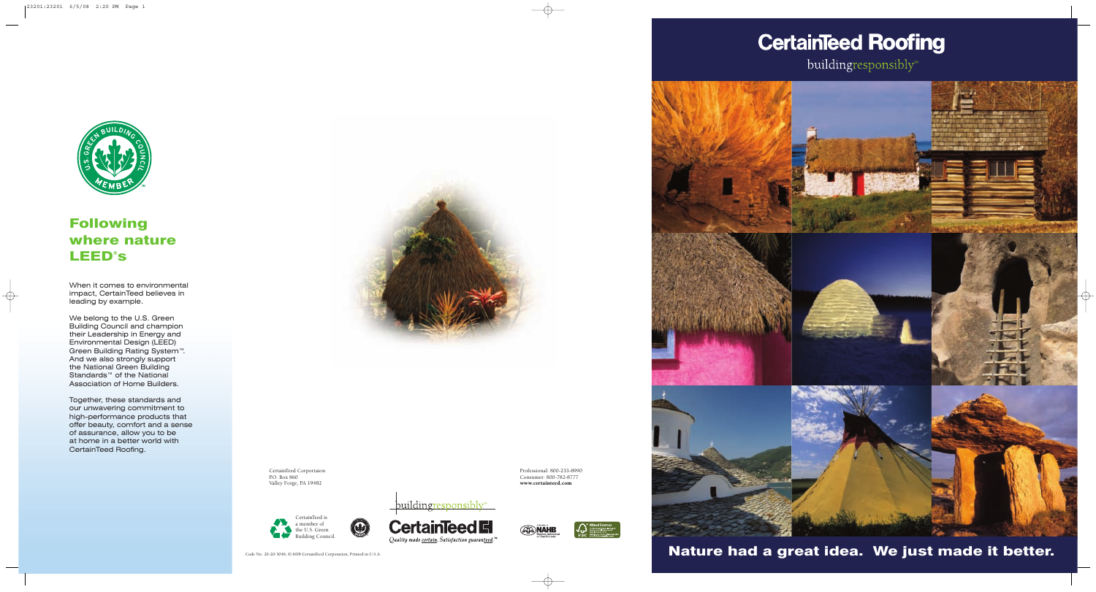Nature had a great idea. We just made it better.







# Following where nature LEED® s

When it comes to environmental impact, CertainTeed believes in leading by example.

We belong to the U.S. Green Building Council and champion their Leadership in Energy and Environmental Design (LEED) Green Building Rating System™. And we also strongly support the National Green Building Standards™ of the National Association of Home Builders.

Together, these standards and our unwavering commitment to high-performance products that offer beauty, comfort and a sense of assurance, allow you to be at home in a better world with CertainTeed Roofing.



Code No. 20-20-3046, © 6/08 CertainTeed Corporation, Printed in U.S.A.

# **CertainTeed Roofing**

buildingresponsibly™



CertainTeed Corportaion P.O. Box 860 Valley Forge, PA 19482

Professional: 800-233-8990 Consumer: 800-782-8777 www.certainteed.com